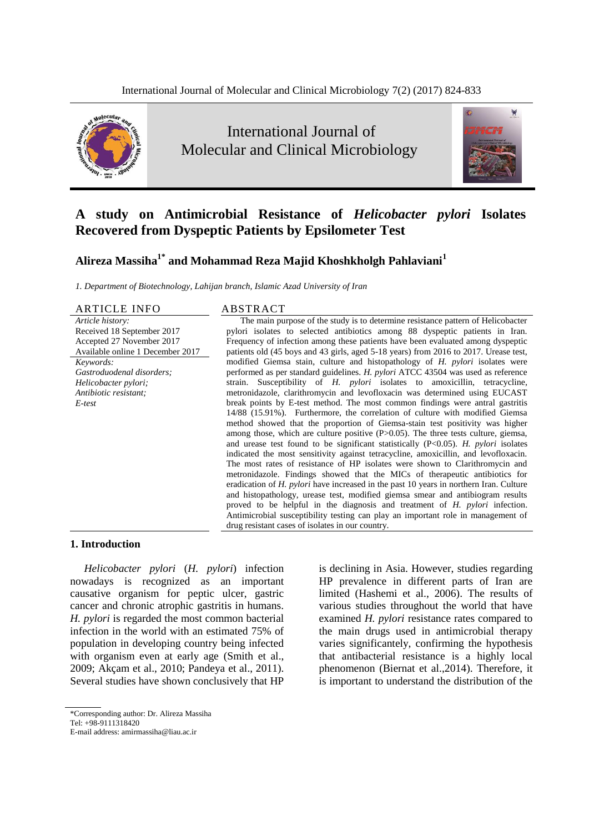

# International Journal of Molecular and Clinical Microbiology



## **A study on Antimicrobial Resistance of** *Helicobacter pylori* **Isolates Recovered from Dyspeptic Patients by Epsilometer Test**

## **Alireza Massiha1\* and Mohammad Reza Majid Khoshkholgh Pahlaviani<sup>1</sup>**

*1. Department of Biotechnology, Lahijan branch, Islamic Azad University of Iran*

#### ARTICLE INFO ABSTRACT

*Article history:* Received 18 September 2017 Accepted 27 November 2017 Available online 1 December 2017 *Keywords: Gastroduodenal disorders; Helicobacter pylori; Antibiotic resistant; E-test*

The main purpose of the study is to determine resistance pattern of Helicobacter pylori isolates to selected antibiotics among 88 dyspeptic patients in Iran. Frequency of infection among these patients have been evaluated among dyspeptic patients old (45 boys and 43 girls, aged 5-18 years) from 2016 to 2017. Urease test, modified Giemsa stain, culture and histopathology of *H. pylori* isolates were performed as per standard guidelines. *H. pylori* ATCC 43504 was used as reference strain. Susceptibility of *H. pylori* isolates to amoxicillin, tetracycline, metronidazole, clarithromycin and levofloxacin was determined using EUCAST break points by E-test method. The most common findings were antral gastritis 14/88 (15.91%). Furthermore, the correlation of culture with modified Giemsa method showed that the proportion of Giemsa-stain test positivity was higher among those, which are culture positive  $(P>0.05)$ . The three tests culture, giemsa, and urease test found to be significant statistically (P<0.05). *H. pylori* isolates indicated the most sensitivity against tetracycline, amoxicillin, and levofloxacin. The most rates of resistance of HP isolates were shown to Clarithromycin and metronidazole. Findings showed that the MICs of therapeutic antibiotics for eradication of *H. pylori* have increased in the past 10 years in northern Iran. Culture and histopathology, urease test, modified giemsa smear and antibiogram results proved to be helpful in the diagnosis and treatment of *H. pylori* infection. Antimicrobial susceptibility testing can play an important role in management of drug resistant cases of isolates in our country.

#### **1. Introduction**

*Helicobacter pylori* (*H. pylori*) infection nowadays is recognized as an important causative organism for peptic ulcer, gastric cancer and chronic atrophic gastritis in humans. *H. pylori* is regarded the most common bacterial infection in the world with an estimated 75% of population in developing country being infected with organism even at early age (Smith et al., 2009; Akçam et al., 2010; Pandeya et al., 2011). Several studies have shown conclusively that HP

is declining in Asia. However, studies regarding HP prevalence in different parts of Iran are limited (Hashemi et al., 2006). The results of various studies throughout the world that have examined *H. pylori* resistance rates compared to the main drugs used in antimicrobial therapy varies significantely, confirming the hypothesis that antibacterial resistance is a highly local phenomenon (Biernat et al.,2014). Therefore, it is important to understand the distribution of the

<sup>\*</sup>Corresponding author: Dr. Alireza Massiha

 $Tel: +98-9111318420$ 

E-mail address: amirmassiha@liau.ac.ir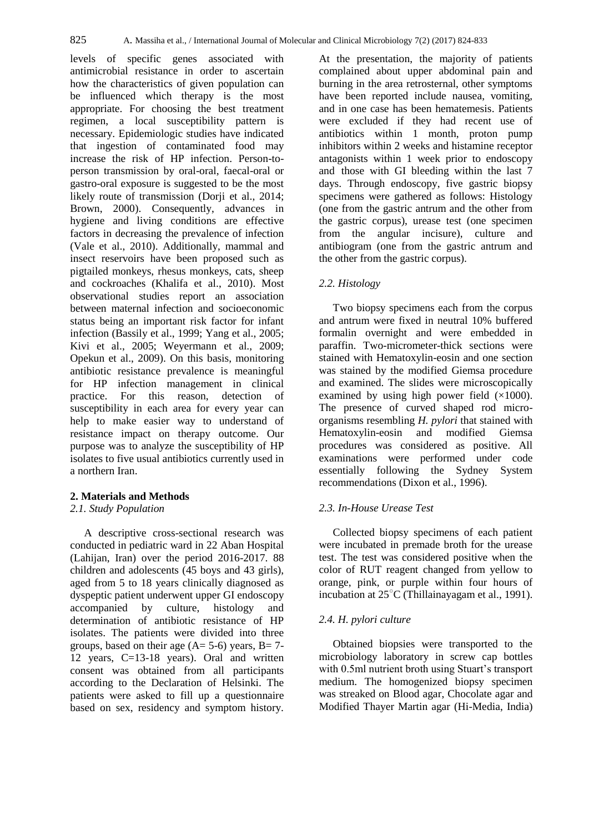levels of specific genes associated with antimicrobial resistance in order to ascertain how the characteristics of given population can be influenced which therapy is the most appropriate. For choosing the best treatment regimen, a local susceptibility pattern is necessary. Epidemiologic studies have indicated that ingestion of contaminated food may increase the risk of HP infection. Person-toperson transmission by oral-oral, faecal-oral or gastro-oral exposure is suggested to be the most likely route of transmission (Dorji et al., 2014; Brown, 2000). Consequently, advances in hygiene and living conditions are effective factors in decreasing the prevalence of infection (Vale et al., 2010). Additionally, mammal and insect reservoirs have been proposed such as pigtailed monkeys, rhesus monkeys, cats, sheep and cockroaches (Khalifa et al., 2010). Most observational studies report an association between maternal infection and socioeconomic status being an important risk factor for infant infection (Bassily et al., 1999; Yang et al., 2005; Kivi et al., 2005; Weyermann et al., 2009; Opekun et al., 2009). On this basis, monitoring antibiotic resistance prevalence is meaningful for HP infection management in clinical practice. For this reason, detection of susceptibility in each area for every year can help to make easier way to understand of resistance impact on therapy outcome. Our purpose was to analyze the susceptibility of HP isolates to five usual antibiotics currently used in a northern Iran.

#### **2. Materials and Methods**

#### *2.1. Study Population*

A descriptive cross-sectional research was conducted in pediatric ward in 22 Aban Hospital (Lahijan, Iran) over the period 2016-2017. 88 children and adolescents (45 boys and 43 girls), aged from 5 to 18 years clinically diagnosed as dyspeptic patient underwent upper GI endoscopy accompanied by culture, histology and determination of antibiotic resistance of HP isolates. The patients were divided into three groups, based on their age  $(A= 5-6)$  years,  $B= 7-$ 12 years, C=13-18 years). Oral and written consent was obtained from all participants according to the Declaration of Helsinki. The patients were asked to fill up a questionnaire based on sex, residency and symptom history.

[At](http://www.who.int/rpc/research_ethics).%20At) the presentation, the majority of patients complained about upper abdominal pain and burning in the area retrosternal, other symptoms have been reported include nausea, vomiting, and in one case has been hematemesis. Patients were excluded if they had recent use of antibiotics within 1 month, proton pump inhibitors within 2 weeks and histamine receptor antagonists within 1 week prior to endoscopy and those with GI bleeding within the last 7 days. Through endoscopy, five gastric biopsy specimens were gathered as follows: Histology (one from the gastric antrum and the other from the gastric corpus), urease test (one specimen from the angular incisure), culture and antibiogram (one from the gastric antrum and the other from the gastric corpus).

#### *2.2. Histology*

Two biopsy specimens each from the corpus and antrum were fixed in neutral 10% buffered formalin overnight and were embedded in paraffin. Two-micrometer-thick sections were stained with Hematoxylin-eosin and one section was stained by the modified Giemsa procedure and examined. The slides were microscopically examined by using high power field  $(\times 1000)$ . The presence of curved shaped rod microorganisms resembling *H. pylori* that stained with Hematoxylin-eosin and modified Giemsa procedures was considered as positive. All examinations were performed under code essentially following the Sydney System recommendations (Dixon et al., 1996).

#### *2.3. In-House Urease Test*

Collected biopsy specimens of each patient were incubated in premade broth for the urease test. The test was considered positive when the color of RUT reagent changed from yellow to orange, pink, or purple within four hours of incubation at 25○C (Thillainayagam et al., 1991).

#### *2.4. H. pylori culture*

Obtained biopsies were transported to the microbiology laboratory in screw cap bottles with 0.5ml nutrient broth using Stuart's transport medium. The homogenized biopsy specimen was streaked on Blood agar, Chocolate agar and Modified Thayer Martin agar (Hi-Media, India)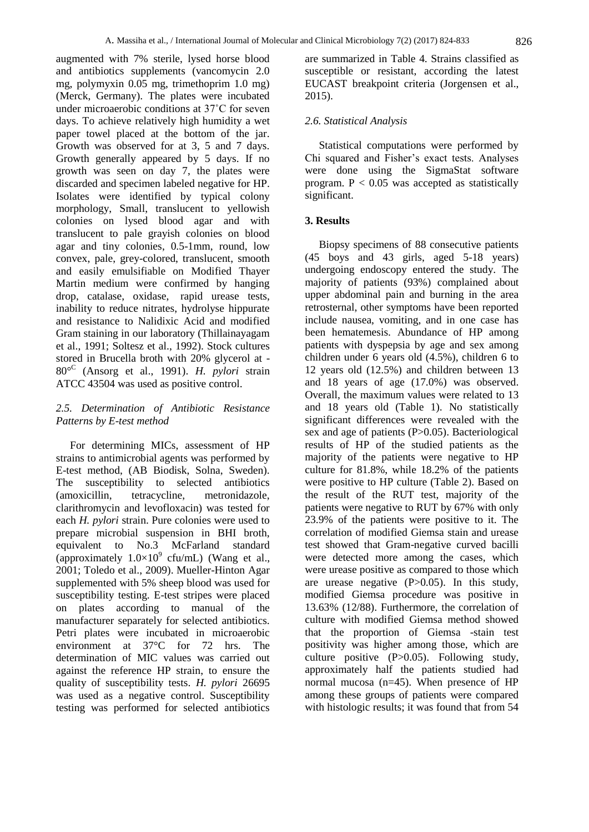augmented with 7% sterile, lysed horse blood and antibiotics supplements (vancomycin 2.0 mg, polymyxin 0.05 mg, trimethoprim 1.0 mg) (Merck, Germany). The plates were incubated under microaerobic conditions at 37˚C for seven days. To achieve relatively high humidity a wet paper towel placed at the bottom of the jar. Growth was observed for at 3, 5 and 7 days. Growth generally appeared by 5 days. If no growth was seen on day 7, the plates were discarded and specimen labeled negative for HP. Isolates were identified by typical colony morphology, Small, translucent to yellowish colonies on lysed blood agar and with translucent to pale grayish colonies on blood agar and tiny colonies, 0.5-1mm, round, low convex, pale, grey-colored, translucent, smooth and easily emulsifiable on Modified Thayer Martin medium were confirmed by hanging drop, catalase, oxidase, rapid urease tests, inability to reduce nitrates, hydrolyse hippurate and resistance to Nalidixic Acid and modified Gram staining in our laboratory (Thillainayagam et al., 1991; Soltesz et al., 1992). Stock cultures stored in Brucella broth with 20% glycerol at - 80°<sup>C</sup> (Ansorg et al., 1991). *H. pylori* strain ATCC 43504 was used as positive control.

### *2.5. Determination of Antibiotic Resistance Patterns by E-test method*

For determining MICs, assessment of HP strains to antimicrobial agents was performed by E-test method, (AB Biodisk, Solna, Sweden). The susceptibility to selected antibiotics (amoxicillin, tetracycline, metronidazole, clarithromycin and levofloxacin) was tested for each *H. pylori* strain. Pure colonies were used to prepare microbial suspension in BHI broth, equivalent to No.3 McFarland standard (approximately  $1.0 \times 10^9$  cfu/mL) (Wang et al., 2001; Toledo et al., 2009). Mueller-Hinton Agar supplemented with 5% sheep blood was used for susceptibility testing. E-test stripes were placed on plates according to manual of the manufacturer separately for selected antibiotics. Petri plates were incubated in microaerobic environment at 37°C for 72 hrs. The determination of MIC values was carried out against the reference HP strain, to ensure the quality of susceptibility tests. *H. pylori* 26695 was used as a negative control. Susceptibility testing was performed for selected antibiotics are summarized in Table 4. Strains classified as susceptible or resistant, according the latest EUCAST breakpoint criteria (Jorgensen et al., 2015).

#### *2.6. Statistical Analysis*

Statistical computations were performed by Chi squared and Fisher's exact tests. Analyses were done using the SigmaStat software program.  $P < 0.05$  was accepted as statistically significant.

#### **3. Results**

Biopsy specimens of 88 consecutive patients (45 boys and 43 girls, aged 5-18 years) undergoing endoscopy entered the study. The majority of patients (93%) complained about upper abdominal pain and burning in the area retrosternal, other symptoms have been reported include nausea, vomiting, and in one case has been hematemesis. Abundance of HP among patients with dyspepsia by age and sex among children under 6 years old (4.5%), children 6 to 12 years old (12.5%) and children between 13 and 18 years of age (17.0%) was observed. Overall, the maximum values were related to 13 and 18 years old (Table 1). No statistically significant differences were revealed with the sex and age of patients (P>0.05). Bacteriological results of HP of the studied patients as the majority of the patients were negative to HP culture for 81.8%, while 18.2% of the patients were positive to HP culture (Table 2). Based on the result of the RUT test, majority of the patients were negative to RUT by 67% with only 23.9% of the patients were positive to it. The correlation of modified Giemsa stain and urease test showed that Gram-negative curved bacilli were detected more among the cases, which were urease positive as compared to those which are urease negative (P>0.05). In this study, modified Giemsa procedure was positive in 13.63% (12/88). Furthermore, the correlation of culture with modified Giemsa method showed that the proportion of Giemsa -stain test positivity was higher among those, which are culture positive (P>0.05). Following study, approximately half the patients studied had normal mucosa (n=45). When presence of HP among these groups of patients were compared with histologic results; it was found that from 54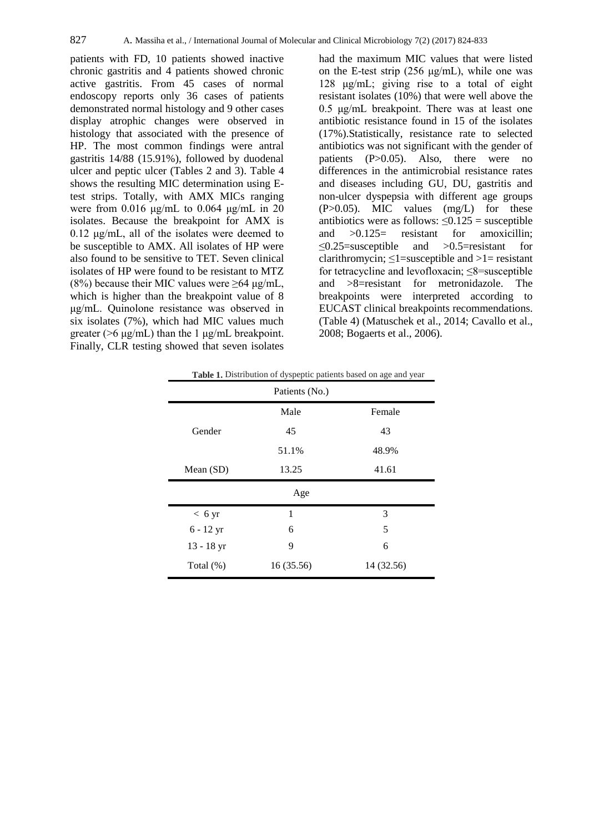patients with FD, 10 patients showed inactive chronic gastritis and 4 patients showed chronic active gastritis. From 45 cases of normal endoscopy reports only 36 cases of patients demonstrated normal histology and 9 other cases display atrophic changes were observed in histology that associated with the presence of HP. The most common findings were antral gastritis 14/88 (15.91%), followed by duodenal ulcer and peptic ulcer (Tables 2 and 3). Table 4 shows the resulting MIC determination using Etest strips. Totally, with AMX MICs ranging were from  $0.016 \mu g/mL$  to  $0.064 \mu g/mL$  in 20 isolates. Because the breakpoint for AMX is 0.12 μg/mL, all of the isolates were deemed to be susceptible to AMX. All isolates of HP were also found to be sensitive to TET. Seven clinical isolates of HP were found to be resistant to MTZ (8%) because their MIC values were  $\geq 64$  µg/mL, which is higher than the breakpoint value of 8 μg/mL. Quinolone resistance was observed in six isolates (7%), which had MIC values much greater ( $>6 \mu$ g/mL) than the 1  $\mu$ g/mL breakpoint. Finally, CLR testing showed that seven isolates

had the maximum MIC values that were listed on the E-test strip (256 μg/mL), while one was 128 μg/mL; giving rise to a total of eight resistant isolates (10%) that were well above the 0.5 μg/mL breakpoint. There was at least one antibiotic resistance found in 15 of the isolates (17%).Statistically, resistance rate to selected antibiotics was not significant with the gender of patients (P>0.05). Also, there were no differences in the antimicrobial resistance rates and diseases including GU, DU, gastritis and non-ulcer dyspepsia with different age groups (P>0.05). MIC values (mg/L) for these antibiotics were as follows:  $\leq 0.125$  = susceptible and  $>0.125=$  resistant for amoxicillin:  $\leq 0.25$ =susceptible and  $> 0.5$ =resistant for clarithromycin;  $\leq$ 1=susceptible and  $>$ 1= resistant for tetracycline and levofloxacin;  $\leq$ 8=susceptible and >8=resistant for metronidazole. The breakpoints were interpreted according to EUCAST clinical breakpoints recommendations. (Table 4) (Matuschek et al., 2014; Cavallo et al., 2008; Bogaerts et al., 2006).

|                  | Patients (No.) |            |  |  |
|------------------|----------------|------------|--|--|
|                  | Male           | Female     |  |  |
| Gender           | 45             | 43         |  |  |
|                  | 51.1%          | 48.9%      |  |  |
| Mean (SD)        | 13.25          | 41.61      |  |  |
| Age              |                |            |  |  |
| $< 6 \text{ yr}$ | 1              | 3          |  |  |
| $6 - 12$ yr      | 6              | 5          |  |  |
| $13 - 18$ yr     | 9              | 6          |  |  |
| Total $(\%)$     | 16 (35.56)     | 14 (32.56) |  |  |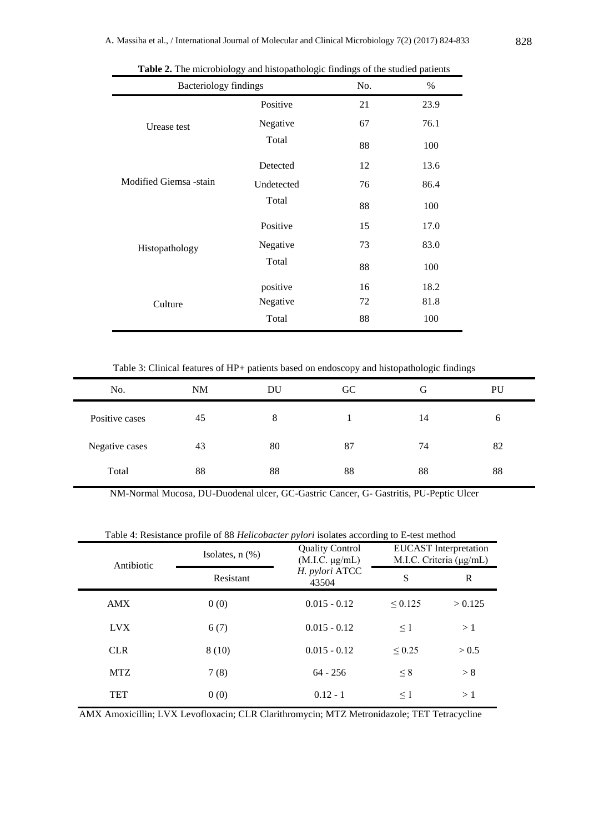| <b>Bacteriology findings</b> |            | No. | %    |
|------------------------------|------------|-----|------|
|                              | Positive   | 21  | 23.9 |
| Urease test                  | Negative   | 67  | 76.1 |
|                              | Total      | 88  | 100  |
|                              | Detected   | 12  | 13.6 |
| Modified Giemsa -stain       | Undetected | 76  | 86.4 |
|                              | Total      | 88  | 100  |
|                              | Positive   | 15  | 17.0 |
| Histopathology               | Negative   | 73  | 83.0 |
|                              | Total      | 88  | 100  |
|                              | positive   | 16  | 18.2 |
| Culture                      | Negative   | 72  | 81.8 |
|                              | Total      | 88  | 100  |

**Table 2.** The microbiology and histopathologic findings of the studied patients

Table 3: Clinical features of HP+ patients based on endoscopy and histopathologic findings

| No.            | NM | DU | <b>GC</b> | G  | PU |
|----------------|----|----|-----------|----|----|
| Positive cases | 45 | 8  |           | 14 | 6  |
| Negative cases | 43 | 80 | 87        | 74 | 82 |
| Total          | 88 | 88 | 88        | 88 | 88 |

NM-Normal Mucosa, DU-Duodenal ulcer, GC-Gastric Cancer, G- Gastritis, PU-Peptic Ulcer

Table 4: Resistance profile of 88 *Helicobacter pylori* isolates according to E-test method

| Antibiotic | Isolates, $n$ $(\%)$ | <b>Quality Control</b><br>(M.I.C. µg/mL) | <b>EUCAST</b> Interpretation<br>M.I.C. Criteria (µg/mL) |         |
|------------|----------------------|------------------------------------------|---------------------------------------------------------|---------|
|            | Resistant            | H. pylori ATCC<br>43504                  | S                                                       | R       |
| AMX        | 0(0)                 | $0.015 - 0.12$                           | $\leq 0.125$                                            | > 0.125 |
| <b>LVX</b> | 6(7)                 | $0.015 - 0.12$                           | $\leq$ 1                                                | >1      |
| <b>CLR</b> | 8(10)                | $0.015 - 0.12$                           | ${}_{0.25}$                                             | > 0.5   |
| <b>MTZ</b> | 7(8)                 | $64 - 256$                               | $\leq 8$                                                | > 8     |
| TET        | 0(0)                 | $0.12 - 1$                               | $\leq$ 1                                                | >1      |

AMX Amoxicillin; LVX Levofloxacin; CLR Clarithromycin; MTZ Metronidazole; TET Tetracycline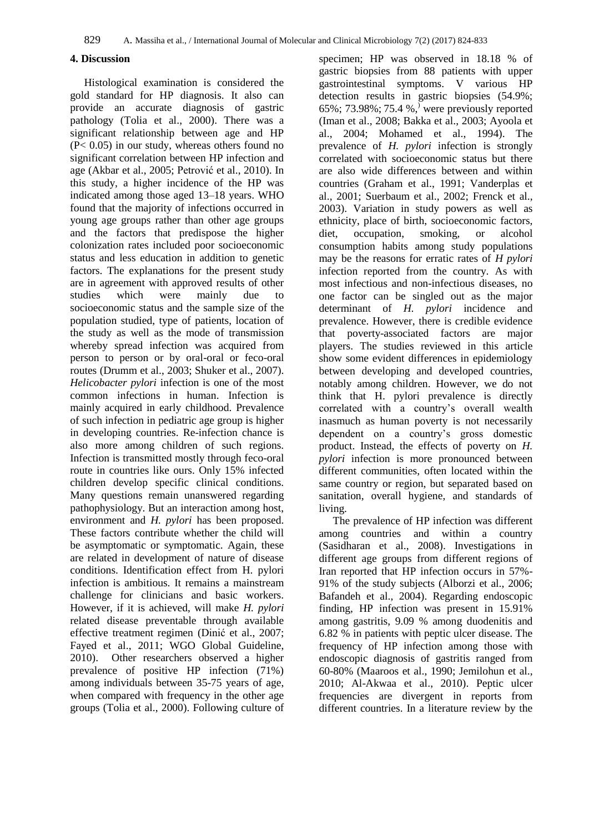#### **4. Discussion**

Histological examination is considered the gold standard for HP diagnosis. It also can provide an accurate diagnosis of gastric pathology (Tolia et al., 2000). There was a significant relationship between age and HP (P< 0.05) in our study, whereas others found no significant correlation between HP infection and age (Akbar et al., 2005; Petrović et al., 2010). In this study, a higher incidence of the HP was indicated among those aged 13–18 years. WHO found that the majority of infections occurred in young age groups rather than other age groups and the factors that predispose the higher colonization rates included poor socioeconomic status and less education in addition to genetic factors. The explanations for the present study are in agreement with approved results of other studies which were mainly due to socioeconomic status and the sample size of the population studied, type of patients, location of the study as well as the mode of transmission whereby spread infection was acquired from person to person or by oral-oral or feco-oral routes (Drumm et al., 2003; Shuker et al., 2007). *Helicobacter pylori* infection is one of the most common infections in human. Infection is mainly acquired in early childhood. Prevalence of such infection in pediatric age group is higher in developing countries. Re-infection chance is also more among children of such regions. Infection is transmitted mostly through feco-oral route in countries like ours. Only 15% infected children develop specific clinical conditions. Many questions remain unanswered regarding pathophysiology. But an interaction among host, environment and *H. pylori* has been proposed. These factors contribute whether the child will be asymptomatic or symptomatic. Again, these are related in development of nature of disease conditions. Identification effect from H. pylori infection is ambitious. It remains a mainstream challenge for clinicians and basic workers. However, if it is achieved, will make *H. pylori* related disease preventable through available effective treatment regimen (Dinić et al., 2007; Fayed et al., 2011; WGO Global Guideline, 2010). Other researchers observed a higher prevalence of positive HP infection (71%) among individuals between 35-75 years of age, when compared with frequency in the other age groups (Tolia et al., 2000). Following culture of specimen; HP was observed in 18.18 % of gastric biopsies from 88 patients with upper gastrointestinal symptoms. V various HP detection results in gastric biopsies (54.9%; 65%; 73.98%; 75.4 %, were previously reported (Iman et al., 2008; Bakka et al., 2003; Ayoola et al., 2004; Mohamed et al., 1994). The prevalence of *H. pylori* infection is strongly correlated with socioeconomic status but there are also wide differences between and within countries (Graham et al., 1991; Vanderplas et al., 2001; Suerbaum et al., 2002; Frenck et al., 2003). Variation in study powers as well as ethnicity, place of birth, socioeconomic factors, diet, occupation, smoking, or alcohol consumption habits among study populations may be the reasons for erratic rates of *H pylori*  infection reported from the country. As with most infectious and non-infectious diseases, no one factor can be singled out as the major determinant of *H. pylori* incidence and prevalence. However, there is credible evidence that poverty-associated factors are major players. The studies reviewed in this article show some evident differences in epidemiology between developing and developed countries, notably among children. However, we do not think that H. pylori prevalence is directly correlated with a country's overall wealth inasmuch as human poverty is not necessarily dependent on a country's gross domestic product. Instead, the effects of poverty on *H. pylori* infection is more pronounced between different communities, often located within the same country or region, but separated based on sanitation, overall hygiene, and standards of living.

The prevalence of HP infection was different among countries and within a country (Sasidharan et al., 2008). Investigations in different age groups from different regions of Iran reported that HP infection occurs in 57%- 91% of the study subjects (Alborzi et al., 2006; Bafandeh et al., 2004). Regarding endoscopic finding, HP infection was present in 15.91% among gastritis, 9.09 % among duodenitis and 6.82 % in patients with peptic ulcer disease. The frequency of HP infection among those with endoscopic diagnosis of gastritis ranged from 60-80% (Maaroos et al., 1990; Jemilohun et al., 2010; Al-Akwaa et al., 2010). Peptic ulcer frequencies are divergent in reports from different countries. In a literature review by the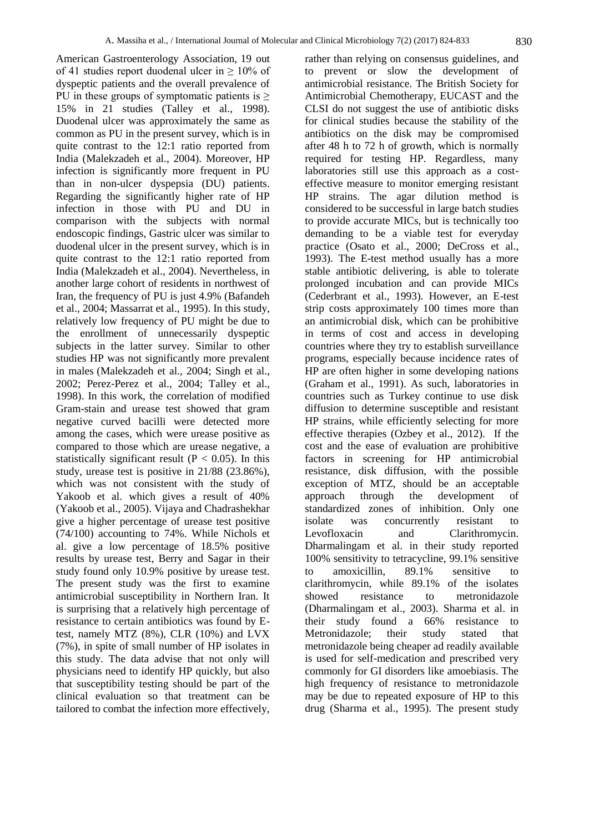American Gastroenterology Association, 19 out of 41 studies report duodenal ulcer in  $\geq 10\%$  of dyspeptic patients and the overall prevalence of PU in these groups of symptomatic patients is  $\geq$ 15% in 21 studies (Talley et al., 1998). Duodenal ulcer was approximately the same as common as PU in the present survey, which is in quite contrast to the 12:1 ratio reported from India (Malekzadeh et al., 2004). Moreover, HP infection is significantly more frequent in PU than in non-ulcer dyspepsia (DU) patients. Regarding the significantly higher rate of HP infection in those with PU and DU in comparison with the subjects with normal endoscopic findings, Gastric ulcer was similar to duodenal ulcer in the present survey, which is in quite contrast to the 12:1 ratio reported from India (Malekzadeh et al., 2004). Nevertheless, in another large cohort of residents in northwest of Iran, the frequency of PU is just 4.9% (Bafandeh et al., 2004; Massarrat et al., 1995). In this study, relatively low frequency of PU might be due to the enrollment of unnecessarily dyspeptic subjects in the latter survey. Similar to other studies HP was not significantly more prevalent in males (Malekzadeh et al., 2004; Singh et al., 2002; Perez‐Perez et al., 2004; Talley et al., 1998). In this work, the correlation of modified Gram-stain and urease test showed that gram negative curved bacilli were detected more among the cases, which were urease positive as compared to those which are urease negative, a statistically significant result ( $P < 0.05$ ). In this study, urease test is positive in 21/88 (23.86%), which was not consistent with the study of Yakoob et al. which gives a result of 40% (Yakoob et al., 2005). Vijaya and Chadrashekhar give a higher percentage of urease test positive (74/100) accounting to 74%. While Nichols et al. give a low percentage of 18.5% positive results by urease test, Berry and Sagar in their study found only 10.9% positive by urease test. The present study was the first to examine antimicrobial susceptibility in Northern Iran. It is surprising that a relatively high percentage of resistance to certain antibiotics was found by Etest, namely MTZ (8%), CLR (10%) and LVX (7%), in spite of small number of HP isolates in this study. The data advise that not only will physicians need to identify HP quickly, but also that susceptibility testing should be part of the clinical evaluation so that treatment can be tailored to combat the infection more effectively,

rather than relying on consensus guidelines, and to prevent or slow the development of antimicrobial resistance. The British Society for Antimicrobial Chemotherapy, EUCAST and the CLSI do not suggest the use of antibiotic disks for clinical studies because the stability of the antibiotics on the disk may be compromised after 48 h to 72 h of growth, which is normally required for testing HP. Regardless, many laboratories still use this approach as a costeffective measure to monitor emerging resistant HP strains. The agar dilution method is considered to be successful in large batch studies to provide accurate MICs, but is technically too demanding to be a viable test for everyday practice (Osato et al., 2000; DeCross et al., 1993). The E-test method usually has a more stable antibiotic delivering, is able to tolerate prolonged incubation and can provide MICs (Cederbrant et al., 1993). However, an E-test strip costs approximately 100 times more than an antimicrobial disk, which can be prohibitive in terms of cost and access in developing countries where they try to establish surveillance programs, especially because incidence rates of HP are often higher in some developing nations (Graham et al., 1991). As such, laboratories in countries such as Turkey continue to use disk diffusion to determine susceptible and resistant HP strains, while efficiently selecting for more effective therapies (Ozbey et al., 2012). If the cost and the ease of evaluation are prohibitive factors in screening for HP antimicrobial resistance, disk diffusion, with the possible exception of MTZ, should be an acceptable approach through the development of standardized zones of inhibition. Only one isolate was concurrently resistant to Levofloxacin and Clarithromycin. Dharmalingam et al. in their study reported 100% sensitivity to tetracycline, 99.1% sensitive to amoxicillin, 89.1% sensitive to clarithromycin, while 89.1% of the isolates showed resistance to metronidazole (Dharmalingam et al., 2003). Sharma et al. in their study found a 66% resistance to Metronidazole; their study stated that metronidazole being cheaper ad readily available is used for self-medication and prescribed very commonly for GI disorders like amoebiasis. The high frequency of resistance to metronidazole may be due to repeated exposure of HP to this drug (Sharma et al., 1995). The present study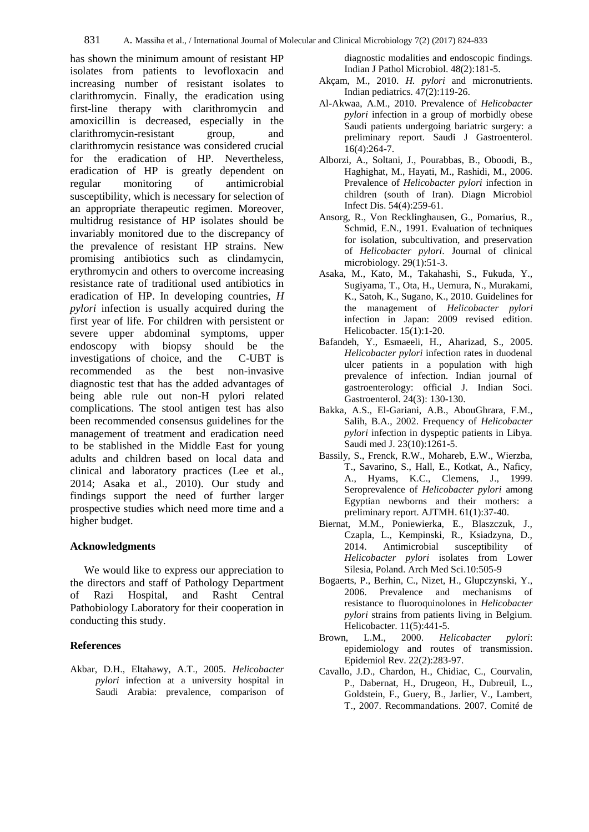has shown the minimum amount of resistant HP isolates from patients to levofloxacin and increasing number of resistant isolates to clarithromycin. Finally, the eradication using first-line therapy with clarithromycin and amoxicillin is decreased, especially in the clarithromycin-resistant group, and clarithromycin resistance was considered crucial for the eradication of HP. Nevertheless, eradication of HP is greatly dependent on regular monitoring of antimicrobial susceptibility, which is necessary for selection of an appropriate therapeutic regimen. Moreover, multidrug resistance of HP isolates should be invariably monitored due to the discrepancy of the prevalence of resistant HP strains. New promising antibiotics such as clindamycin, erythromycin and others to overcome increasing resistance rate of traditional used antibiotics in eradication of HP. In developing countries, *H pylori* infection is usually acquired during the first year of life. For children with persistent or severe upper abdominal symptoms, upper endoscopy with biopsy should be the investigations of choice, and the C-UBT is recommended as the best non-invasive diagnostic test that has the added advantages of being able rule out non-H pylori related complications. The stool antigen test has also been recommended consensus guidelines for the management of treatment and eradication need to be stablished in the Middle East for young adults and children based on local data and clinical and laboratory practices (Lee et al., 2014; Asaka et al., 2010). Our study and findings support the need of further larger prospective studies which need more time and a higher budget.

#### **Acknowledgments**

We would like to express our appreciation to the directors and staff of Pathology Department of Razi Hospital, and Rasht Central Pathobiology Laboratory for their cooperation in conducting this study.

#### **References**

Akbar, D.H., Eltahawy, A.T., 2005. *Helicobacter pylori* infection at a university hospital in Saudi Arabia: prevalence, comparison of

diagnostic modalities and endoscopic findings. Indian J Pathol Microbiol. 48(2):181-5.

- Akçam, M., 2010. *H. pylori* and micronutrients. Indian pediatrics. 47(2):119-26.
- Al-Akwaa, A.M., 2010. Prevalence of *Helicobacter pylori* infection in a group of morbidly obese Saudi patients undergoing bariatric surgery: a preliminary report. Saudi J Gastroenterol. 16(4):264-7.
- Alborzi, A., Soltani, J., Pourabbas, B., Oboodi, B., Haghighat, M., Hayati, M., Rashidi, M., 2006. Prevalence of *Helicobacter pylori* infection in children (south of Iran). Diagn Microbiol Infect Dis. 54(4):259-61.
- Ansorg, R., Von Recklinghausen, G., Pomarius, R., Schmid, E.N., 1991. Evaluation of techniques for isolation, subcultivation, and preservation of *Helicobacter pylori*. Journal of clinical microbiology. 29(1):51-3.
- Asaka, M., Kato, M., Takahashi, S., Fukuda, Y., Sugiyama, T., Ota, H., Uemura, N., Murakami, K., Satoh, K., Sugano, K., 2010. Guidelines for the management of *Helicobacter pylori* infection in Japan: 2009 revised edition. Helicobacter. 15(1):1-20.
- Bafandeh, Y., Esmaeeli, H., Aharizad, S., 2005. *Helicobacter pylori* infection rates in duodenal ulcer patients in a population with high prevalence of infection. Indian journal of gastroenterology: official J. Indian Soci. Gastroenterol. 24(3): 130-130.
- Bakka, A.S., El-Gariani, A.B., AbouGhrara, F.M., Salih, B.A., 2002. Frequency of *Helicobacter pylori* infection in dyspeptic patients in Libya. Saudi med J. 23(10):1261-5.
- Bassily, S., Frenck, R.W., Mohareb, E.W., Wierzba, T., Savarino, S., Hall, E., Kotkat, A., Naficy, A., Hyams, K.C., Clemens, J., 1999. Seroprevalence of *Helicobacter pylori* among Egyptian newborns and their mothers: a preliminary report. AJTMH. 61(1):37-40.
- Biernat, M.M., Poniewierka, E., Blaszczuk, J., Czapla, L., Kempinski, R., Ksiadzyna, D., 2014. Antimicrobial susceptibility of *Helicobacter pylori* isolates from Lower Silesia, Poland. Arch Med Sci.10:505-9
- Bogaerts, P., Berhin, C., Nizet, H., Glupczynski, Y., 2006. Prevalence and mechanisms of resistance to fluoroquinolones in *Helicobacter pylori* strains from patients living in Belgium. Helicobacter. 11(5):441-5.
- Brown, L.M., 2000. *Helicobacter pylori*: epidemiology and routes of transmission. Epidemiol Rev. 22(2):283-97.
- Cavallo, J.D., Chardon, H., Chidiac, C., Courvalin, P., Dabernat, H., Drugeon, H., Dubreuil, L., Goldstein, F., Guery, B., Jarlier, V., Lambert, T., 2007. Recommandations. 2007. Comité de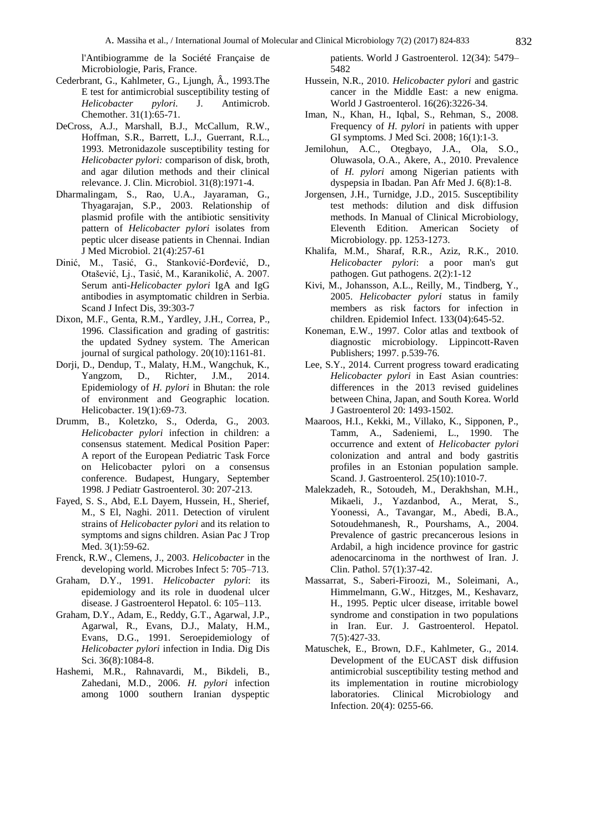l'Antibiogramme de la Société Française de Microbiologie, Paris, France.

- Cederbrant, G., Kahlmeter, G., Ljungh, Â., 1993.The E test for antimicrobial susceptibility testing of<br>
Helicobacter pylori. J. Antimicrob. *Helicobacter pylori*. J. Antimicrob. Chemother. 31(1):65-71.
- DeCross, A.J., Marshall, B.J., McCallum, R.W., Hoffman, S.R., Barrett, L.J., Guerrant, R.L., 1993. Metronidazole susceptibility testing for *Helicobacter pylori:* comparison of disk, broth, and agar dilution methods and their clinical relevance. J. Clin. Microbiol. 31(8):1971-4.
- Dharmalingam, S., Rao, U.A., Jayaraman, G., Thyagarajan, S.P., 2003. Relationship of plasmid profile with the antibiotic sensitivity pattern of *Helicobacter pylori* isolates from peptic ulcer disease patients in Chennai. Indian J Med Microbiol. 21(4):257-61
- Dinić, M., Tasić, G., Stanković-Đorđević, D., Otašević, Lj., Tasić, M., Karanikolić, A. 2007. Serum anti-*Helicobacter pylori* IgA and IgG antibodies in asymptomatic children in Serbia. Scand J Infect Dis, 39:303-7
- Dixon, M.F., Genta, R.M., Yardley, J.H., Correa, P., 1996. Classification and grading of gastritis: the updated Sydney system. The American journal of surgical pathology. 20(10):1161-81.
- Dorji, D., Dendup, T., Malaty, H.M., Wangchuk, K., Yangzom, D., Richter, J.M., 2014. Epidemiology of *H. pylori* in Bhutan: the role of environment and Geographic location. Helicobacter. 19(1):69-73.
- Drumm, B., Koletzko, S., Oderda, G., 2003. *Helicobacter pylori* infection in children: a consensus statement. Medical Position Paper: A report of the European Pediatric Task Force on Helicobacter pylori on a consensus conference. Budapest, Hungary, September 1998. J Pediatr Gastroenterol. 30: 207-213.
- Fayed, S. S., Abd, E.L Dayem, Hussein, H., Sherief, M., S El, Naghi. 2011. Detection of virulent strains of *Helicobacter pylori* and its relation to symptoms and signs children. Asian Pac J Trop Med. 3(1):59-62.
- Frenck, R.W., Clemens, J., 2003. *Helicobacter* in the developing world. Microbes Infect 5: 705–713.
- Graham, D.Y., 1991. *Helicobacter pylori*: its epidemiology and its role in duodenal ulcer disease. J Gastroenterol Hepatol. 6: 105–113.
- Graham, D.Y., Adam, E., Reddy, G.T., Agarwal, J.P., Agarwal, R., Evans, D.J., Malaty, H.M., Evans, D.G., 1991. Seroepidemiology of *Helicobacter pylori* infection in India. Dig Dis Sci. 36(8):1084-8.
- Hashemi, M.R., Rahnavardi, M., Bikdeli, B., Zahedani, M.D., 2006. *H. pylori* infection among 1000 southern Iranian dyspeptic

patients. World J Gastroenterol. 12(34): 5479– 5482

- Hussein, N.R., 2010. *Helicobacter pylori* and gastric cancer in the Middle East: a new enigma. World J Gastroenterol. 16(26):3226-34.
- Iman, N., Khan, H., Iqbal, S., Rehman, S., 2008. Frequency of *H. pylori* in patients with upper GI symptoms. J Med Sci. 2008; 16(1):1-3.
- Jemilohun, A.C., Otegbayo, J.A., Ola, S.O., Oluwasola, O.A., Akere, A., 2010. Prevalence of *H. pylori* among Nigerian patients with dyspepsia in Ibadan. Pan Afr Med J. 6(8):1-8.
- Jorgensen, J.H., Turnidge, J.D., 2015. Susceptibility test methods: dilution and disk diffusion methods. In Manual of Clinical Microbiology, Eleventh Edition. American Society of Microbiology. pp. 1253-1273.
- Khalifa, M.M., Sharaf, R.R., Aziz, R.K., 2010. *Helicobacter pylori*: a poor man's gut pathogen. Gut pathogens. 2(2):1-12
- Kivi, M., Johansson, A.L., Reilly, M., Tindberg, Y., 2005. *Helicobacter pylori* status in family members as risk factors for infection in children. Epidemiol Infect. 133(04):645-52.
- Koneman, E.W., 1997. Color atlas and textbook of diagnostic microbiology. Lippincott-Raven Publishers; 1997. p.539-76.
- Lee, S.Y., 2014. Current progress toward eradicating *Helicobacter pylori* in East Asian countries: differences in the 2013 revised guidelines between China, Japan, and South Korea. World J Gastroenterol 20: 1493-1502.
- Maaroos, H.I., Kekki, M., Villako, K., Sipponen, P., Tamm, A., Sadeniemi, L., 1990. The occurrence and extent of *Helicobacter pylori* colonization and antral and body gastritis profiles in an Estonian population sample. Scand. J. Gastroenterol. 25(10):1010-7.
- Malekzadeh, R., Sotoudeh, M., Derakhshan, M.H., Mikaeli, J., Yazdanbod, A., Merat, S., Yoonessi, A., Tavangar, M., Abedi, B.A., Sotoudehmanesh, R., Pourshams, A., 2004. Prevalence of gastric precancerous lesions in Ardabil, a high incidence province for gastric adenocarcinoma in the northwest of Iran. J. Clin. Pathol. 57(1):37-42.
- Massarrat, S., Saberi-Firoozi, M., Soleimani, A., Himmelmann, G.W., Hitzges, M., Keshavarz, H., 1995. Peptic ulcer disease, irritable bowel syndrome and constipation in two populations in Iran. Eur. J. Gastroenterol. Hepatol. 7(5):427-33.
- Matuschek, E., Brown, D.F., Kahlmeter, G., 2014. Development of the EUCAST disk diffusion antimicrobial susceptibility testing method and its implementation in routine microbiology laboratories. Clinical Microbiology and Infection. 20(4): 0255-66.